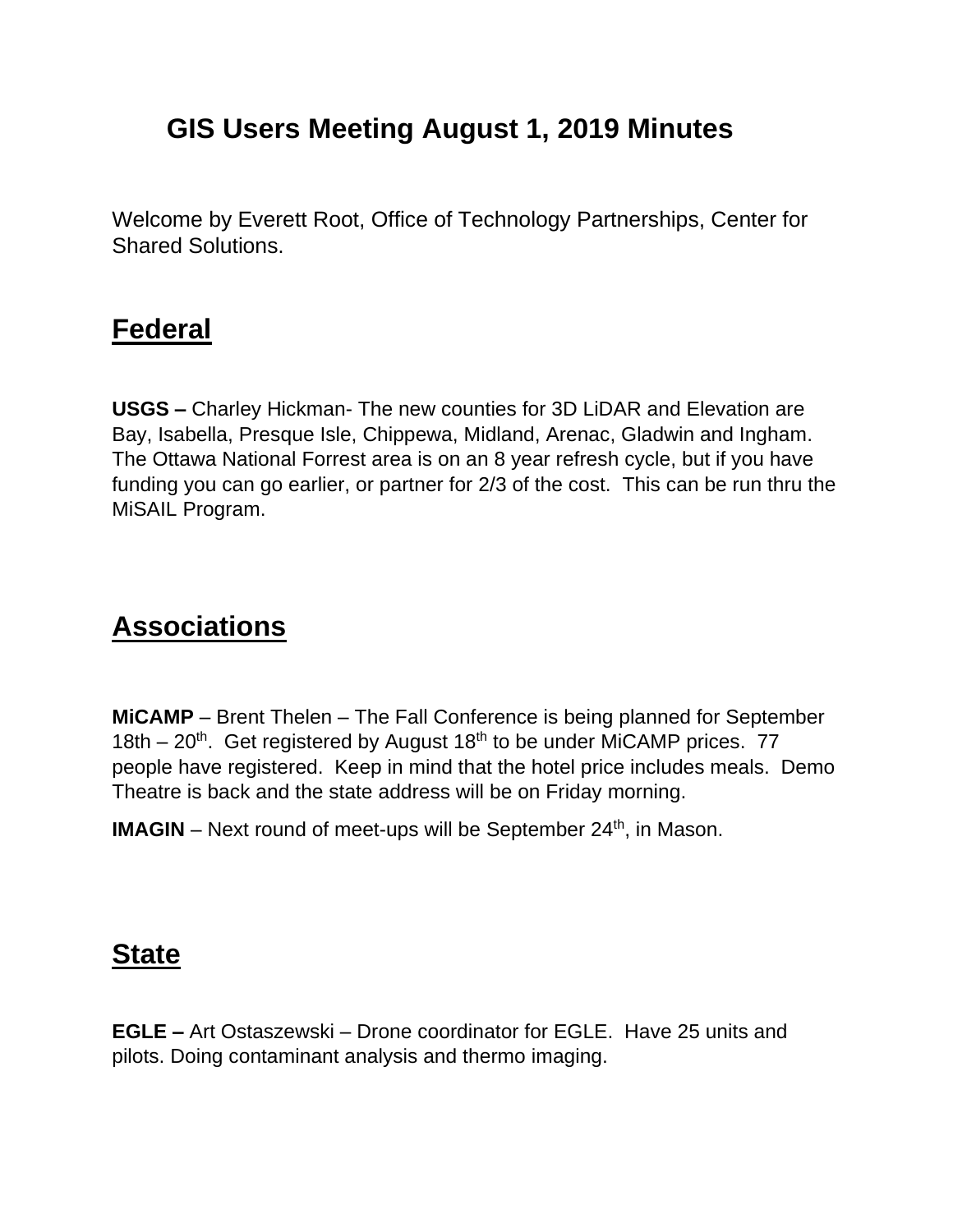## **GIS Users Meeting August 1, 2019 Minutes**

Welcome by Everett Root, Office of Technology Partnerships, Center for Shared Solutions.

#### **Federal**

**USGS –** Charley Hickman- The new counties for 3D LiDAR and Elevation are Bay, Isabella, Presque Isle, Chippewa, Midland, Arenac, Gladwin and Ingham. The Ottawa National Forrest area is on an 8 year refresh cycle, but if you have funding you can go earlier, or partner for 2/3 of the cost. This can be run thru the MiSAIL Program.

#### **Associations**

**MiCAMP** – Brent Thelen – The Fall Conference is being planned for September 18th  $-20$ <sup>th</sup>. Get registered by August 18<sup>th</sup> to be under MiCAMP prices. 77 people have registered. Keep in mind that the hotel price includes meals. Demo Theatre is back and the state address will be on Friday morning.

**IMAGIN** – Next round of meet-ups will be September 24<sup>th</sup>, in Mason.

#### **State**

**EGLE –** Art Ostaszewski – Drone coordinator for EGLE. Have 25 units and pilots. Doing contaminant analysis and thermo imaging.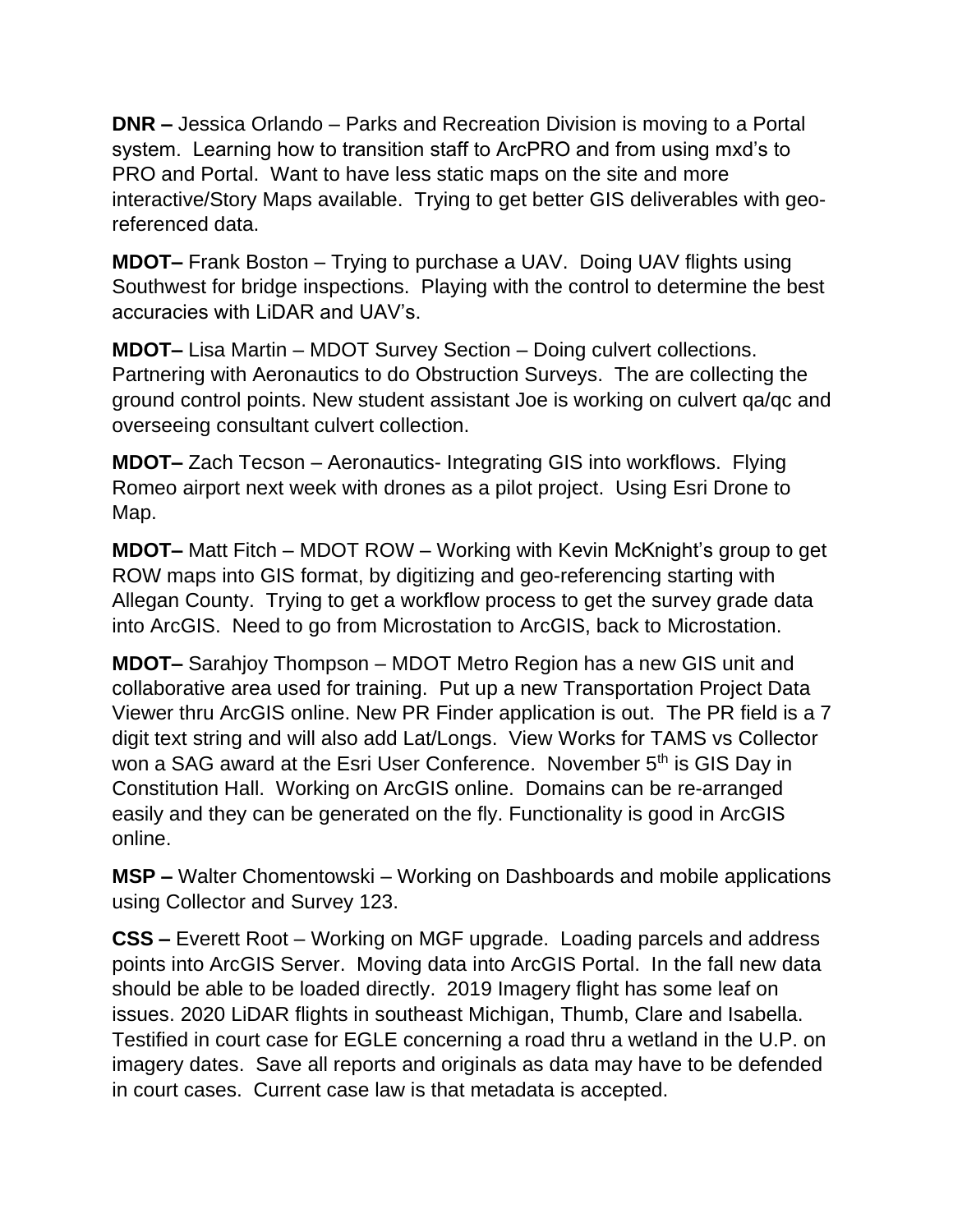**DNR –** Jessica Orlando – Parks and Recreation Division is moving to a Portal system. Learning how to transition staff to ArcPRO and from using mxd's to PRO and Portal. Want to have less static maps on the site and more interactive/Story Maps available. Trying to get better GIS deliverables with georeferenced data.

**MDOT–** Frank Boston – Trying to purchase a UAV. Doing UAV flights using Southwest for bridge inspections. Playing with the control to determine the best accuracies with LiDAR and UAV's.

**MDOT–** Lisa Martin – MDOT Survey Section – Doing culvert collections. Partnering with Aeronautics to do Obstruction Surveys. The are collecting the ground control points. New student assistant Joe is working on culvert qa/qc and overseeing consultant culvert collection.

**MDOT–** Zach Tecson – Aeronautics- Integrating GIS into workflows. Flying Romeo airport next week with drones as a pilot project. Using Esri Drone to Map.

**MDOT–** Matt Fitch – MDOT ROW – Working with Kevin McKnight's group to get ROW maps into GIS format, by digitizing and geo-referencing starting with Allegan County. Trying to get a workflow process to get the survey grade data into ArcGIS. Need to go from Microstation to ArcGIS, back to Microstation.

**MDOT–** Sarahjoy Thompson – MDOT Metro Region has a new GIS unit and collaborative area used for training. Put up a new Transportation Project Data Viewer thru ArcGIS online. New PR Finder application is out. The PR field is a 7 digit text string and will also add Lat/Longs. View Works for TAMS vs Collector won a SAG award at the Esri User Conference. November 5<sup>th</sup> is GIS Day in Constitution Hall. Working on ArcGIS online. Domains can be re-arranged easily and they can be generated on the fly. Functionality is good in ArcGIS online.

**MSP –** Walter Chomentowski – Working on Dashboards and mobile applications using Collector and Survey 123.

**CSS –** Everett Root – Working on MGF upgrade. Loading parcels and address points into ArcGIS Server. Moving data into ArcGIS Portal. In the fall new data should be able to be loaded directly. 2019 Imagery flight has some leaf on issues. 2020 LiDAR flights in southeast Michigan, Thumb, Clare and Isabella. Testified in court case for EGLE concerning a road thru a wetland in the U.P. on imagery dates. Save all reports and originals as data may have to be defended in court cases. Current case law is that metadata is accepted.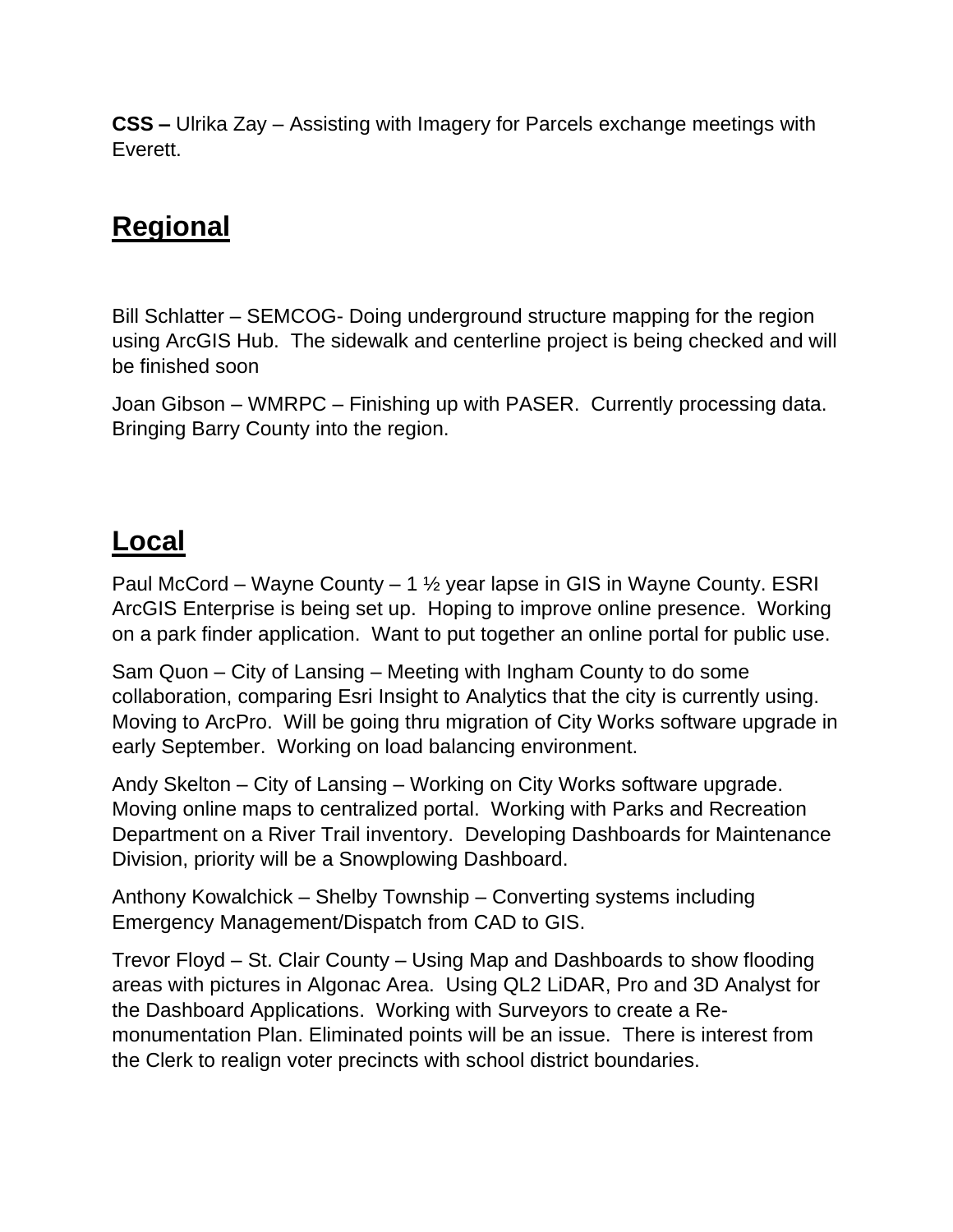**CSS –** Ulrika Zay – Assisting with Imagery for Parcels exchange meetings with Everett.

## **Regional**

Bill Schlatter – SEMCOG- Doing underground structure mapping for the region using ArcGIS Hub. The sidewalk and centerline project is being checked and will be finished soon

Joan Gibson – WMRPC – Finishing up with PASER. Currently processing data. Bringing Barry County into the region.

## **Local**

Paul McCord – Wayne County – 1 ½ year lapse in GIS in Wayne County. ESRI ArcGIS Enterprise is being set up. Hoping to improve online presence. Working on a park finder application. Want to put together an online portal for public use.

Sam Quon – City of Lansing – Meeting with Ingham County to do some collaboration, comparing Esri Insight to Analytics that the city is currently using. Moving to ArcPro. Will be going thru migration of City Works software upgrade in early September. Working on load balancing environment.

Andy Skelton – City of Lansing – Working on City Works software upgrade. Moving online maps to centralized portal. Working with Parks and Recreation Department on a River Trail inventory. Developing Dashboards for Maintenance Division, priority will be a Snowplowing Dashboard.

Anthony Kowalchick – Shelby Township – Converting systems including Emergency Management/Dispatch from CAD to GIS.

Trevor Floyd – St. Clair County – Using Map and Dashboards to show flooding areas with pictures in Algonac Area. Using QL2 LiDAR, Pro and 3D Analyst for the Dashboard Applications. Working with Surveyors to create a Remonumentation Plan. Eliminated points will be an issue. There is interest from the Clerk to realign voter precincts with school district boundaries.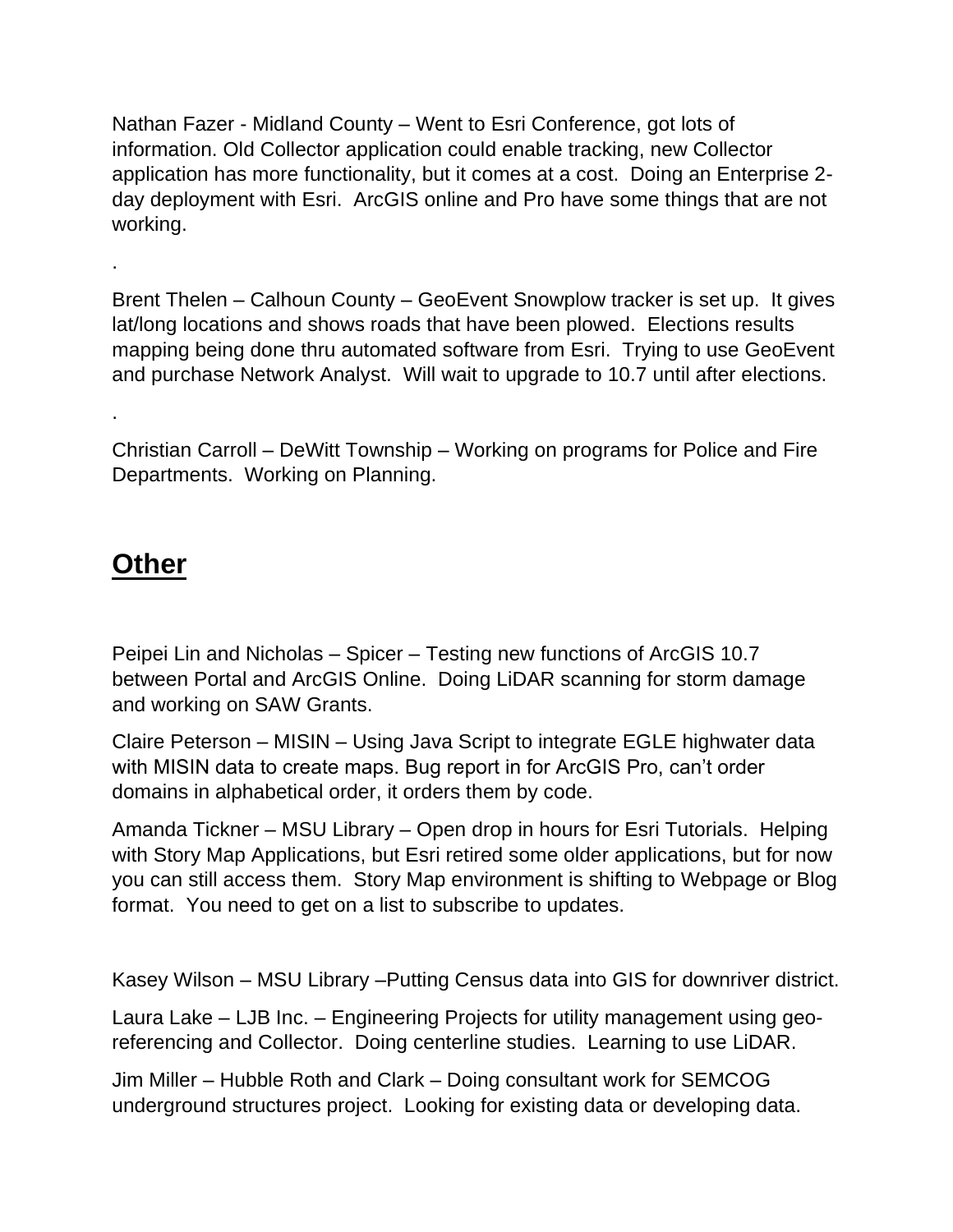Nathan Fazer - Midland County – Went to Esri Conference, got lots of information. Old Collector application could enable tracking, new Collector application has more functionality, but it comes at a cost. Doing an Enterprise 2 day deployment with Esri. ArcGIS online and Pro have some things that are not working.

Brent Thelen – Calhoun County – GeoEvent Snowplow tracker is set up. It gives lat/long locations and shows roads that have been plowed. Elections results mapping being done thru automated software from Esri. Trying to use GeoEvent and purchase Network Analyst. Will wait to upgrade to 10.7 until after elections.

Christian Carroll – DeWitt Township – Working on programs for Police and Fire Departments. Working on Planning.

#### **Other**

.

.

Peipei Lin and Nicholas – Spicer – Testing new functions of ArcGIS 10.7 between Portal and ArcGIS Online. Doing LiDAR scanning for storm damage and working on SAW Grants.

Claire Peterson – MISIN – Using Java Script to integrate EGLE highwater data with MISIN data to create maps. Bug report in for ArcGIS Pro, can't order domains in alphabetical order, it orders them by code.

Amanda Tickner – MSU Library – Open drop in hours for Esri Tutorials. Helping with Story Map Applications, but Esri retired some older applications, but for now you can still access them. Story Map environment is shifting to Webpage or Blog format. You need to get on a list to subscribe to updates.

Kasey Wilson – MSU Library –Putting Census data into GIS for downriver district.

Laura Lake – LJB Inc. – Engineering Projects for utility management using georeferencing and Collector. Doing centerline studies. Learning to use LiDAR.

Jim Miller – Hubble Roth and Clark – Doing consultant work for SEMCOG underground structures project. Looking for existing data or developing data.